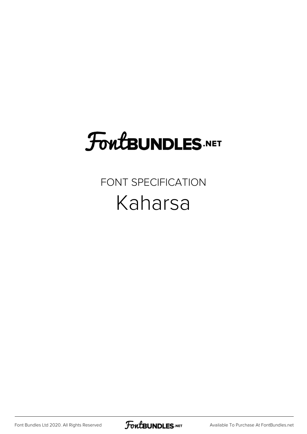# **FoutBUNDLES.NET**

### FONT SPECIFICATION Kaharsa

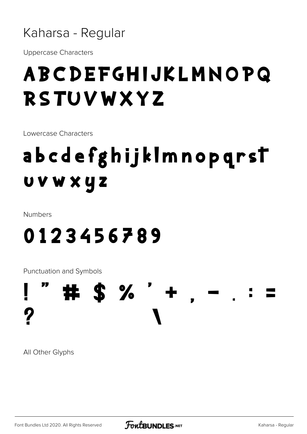Kaharsa - Regular

**Uppercase Characters** 

## **ABCDEFGHIJKLMNOPQ** RSTUVWXYZ

Lowercase Characters

## abcdefghijklmnopqrst uvwxyz

**Numbers** 

### 0123456789

Punctuation and Symbols



All Other Glyphs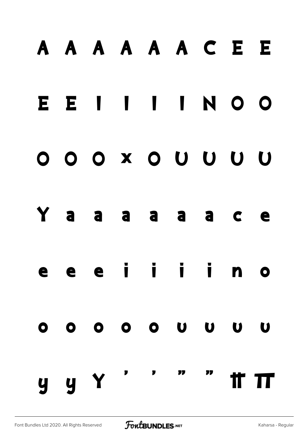#### A A A A A A C E E **IIINOO** E E  $\mathbf{I}$  $0000000000$  $\overline{\mathbf{U}}$ Y a a a a a a  $\mathbf C$ e eeiiii  $\mathbf n$ e  $\bullet$  $\overline{u}$  $\bullet$ " " " , **y y Y**  $\blacksquare$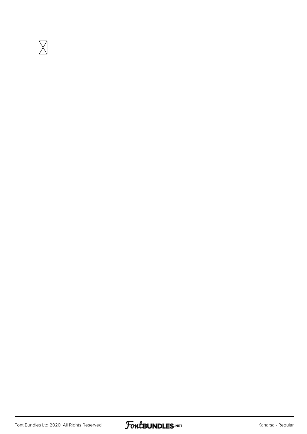

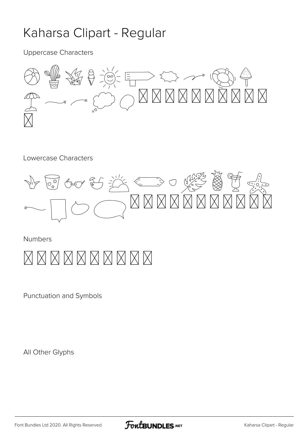#### Kaharsa Clipart - Regular

Uppercase Characters



Lowercase Characters



Numbers



Punctuation and Symbols

All Other Glyphs

[Font Bundles Ltd 2020. All Rights Reserved](https://fontbundles.net/) **FoutBUNDLES.NET** [Kaharsa Clipart - Regular](https://fontbundles.net/)